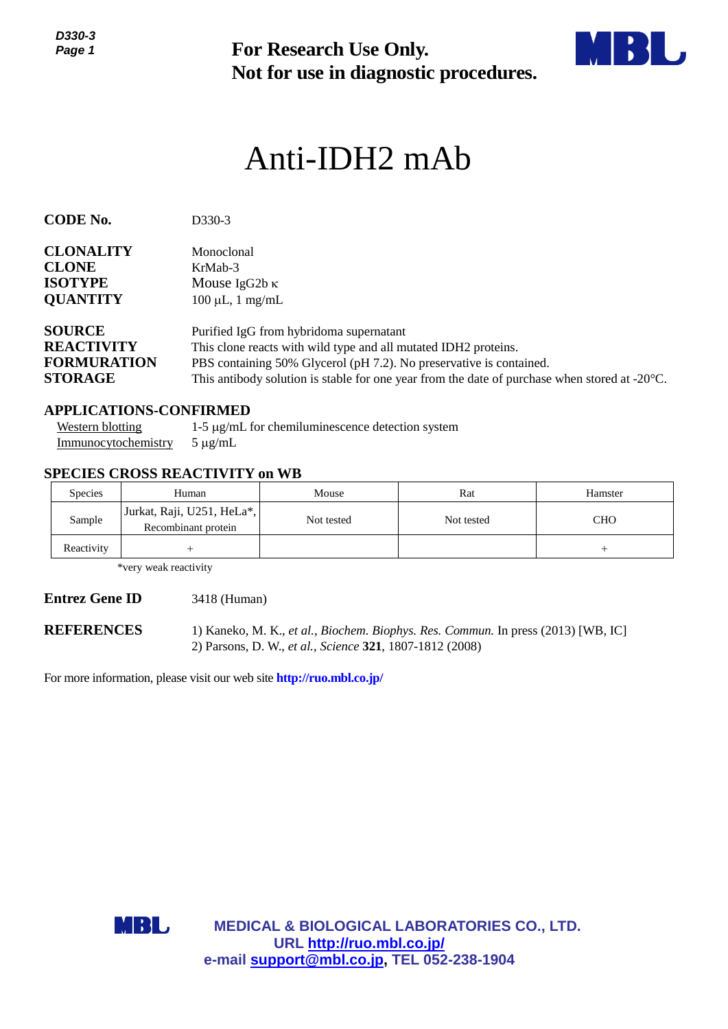*D330-3 Page 1*



# *<sup>1</sup>* Anti-IDH2 mAb

| ט-טטט<br>Page 1                                                            |                                                                       | <b>For Research Use Only.</b><br>Not for use in diagnostic procedures.                                                                                                                                                                                                                       |                   |                       |  |  |  |
|----------------------------------------------------------------------------|-----------------------------------------------------------------------|----------------------------------------------------------------------------------------------------------------------------------------------------------------------------------------------------------------------------------------------------------------------------------------------|-------------------|-----------------------|--|--|--|
|                                                                            |                                                                       | Anti-IDH2 mAb                                                                                                                                                                                                                                                                                |                   |                       |  |  |  |
| <b>CODE No.</b>                                                            | D330-3                                                                |                                                                                                                                                                                                                                                                                              |                   |                       |  |  |  |
| <b>CLONALITY</b><br><b>CLONE</b><br><b>ISOTYPE</b><br><b>QUANTITY</b>      | Monoclonal<br>KrMab-3                                                 | Mouse IgG2b $\kappa$<br>$100 \mu L$ , 1 mg/mL                                                                                                                                                                                                                                                |                   |                       |  |  |  |
| <b>SOURCE</b><br><b>REACTIVITY</b><br><b>FORMURATION</b><br><b>STORAGE</b> |                                                                       | Purified IgG from hybridoma supernatant<br>This clone reacts with wild type and all mutated IDH2 proteins.<br>PBS containing 50% Glycerol (pH 7.2). No preservative is contained.<br>This antibody solution is stable for one year from the date of purchase when stored at $-20^{\circ}$ C. |                   |                       |  |  |  |
| <b>Western blotting</b><br>Immunocytochemistry                             | <b>APPLICATIONS-CONFIRMED</b><br>$5 \mu g/mL$                         | 1-5 µg/mL for chemiluminescence detection system                                                                                                                                                                                                                                             |                   |                       |  |  |  |
|                                                                            | <b>SPECIES CROSS REACTIVITY on WB</b>                                 |                                                                                                                                                                                                                                                                                              |                   |                       |  |  |  |
| <b>Species</b><br>Sample                                                   | Human<br>Jurkat, Raji, U251, HeLa*,<br>Recombinant protein            | Mouse<br>Not tested                                                                                                                                                                                                                                                                          | Rat<br>Not tested | Hamster<br><b>CHO</b> |  |  |  |
| Reactivity                                                                 | $^{+}$                                                                |                                                                                                                                                                                                                                                                                              |                   | $^{+}$                |  |  |  |
|                                                                            | *very weak reactivity                                                 |                                                                                                                                                                                                                                                                                              |                   |                       |  |  |  |
| <b>Entrez Gene ID</b>                                                      | 3418 (Human)                                                          |                                                                                                                                                                                                                                                                                              |                   |                       |  |  |  |
| <b>REFERENCES</b>                                                          |                                                                       | 1) Kaneko, M. K., et al., Biochem. Biophys. Res. Commun. In press (2013) [WB, IC]<br>2) Parsons, D. W., et al., Science 321, 1807-1812 (2008)                                                                                                                                                |                   |                       |  |  |  |
|                                                                            | For more information, please visit our web site http://ruo.mbl.co.jp/ |                                                                                                                                                                                                                                                                                              |                   |                       |  |  |  |
|                                                                            |                                                                       |                                                                                                                                                                                                                                                                                              |                   |                       |  |  |  |
|                                                                            |                                                                       |                                                                                                                                                                                                                                                                                              |                   |                       |  |  |  |
|                                                                            |                                                                       |                                                                                                                                                                                                                                                                                              |                   |                       |  |  |  |
|                                                                            |                                                                       |                                                                                                                                                                                                                                                                                              |                   |                       |  |  |  |
|                                                                            |                                                                       |                                                                                                                                                                                                                                                                                              |                   |                       |  |  |  |
|                                                                            | MBL                                                                   | <b>MEDICAL &amp; BIOLOGICAL LABORATORIES CO., LTD.</b>                                                                                                                                                                                                                                       |                   |                       |  |  |  |
|                                                                            |                                                                       | URL http://ruo.mbl.co.jp/<br>e-mail support@mbl.co.jp, TEL 052-238-1904                                                                                                                                                                                                                      |                   |                       |  |  |  |

#### **APPLICATIONS-CONFIRMED**

| Western blotting                         | $1-5 \mu$ g/mL for chemiluminescence detection system |
|------------------------------------------|-------------------------------------------------------|
| $\frac{Immunocycochemistry}{J \mu g/mL}$ |                                                       |

### **SPECIES CROSS REACTIVITY on WB**

| <b>Species</b> | Human                                             | Mouse      | Rat        | Hamster    |
|----------------|---------------------------------------------------|------------|------------|------------|
| Sample         | Jurkat, Raji, U251, HeLa*,<br>Recombinant protein | Not tested | Not tested | <b>CHO</b> |
| Reactivity     |                                                   |            |            |            |

#### **Entrez Gene ID** 3418 (Human)

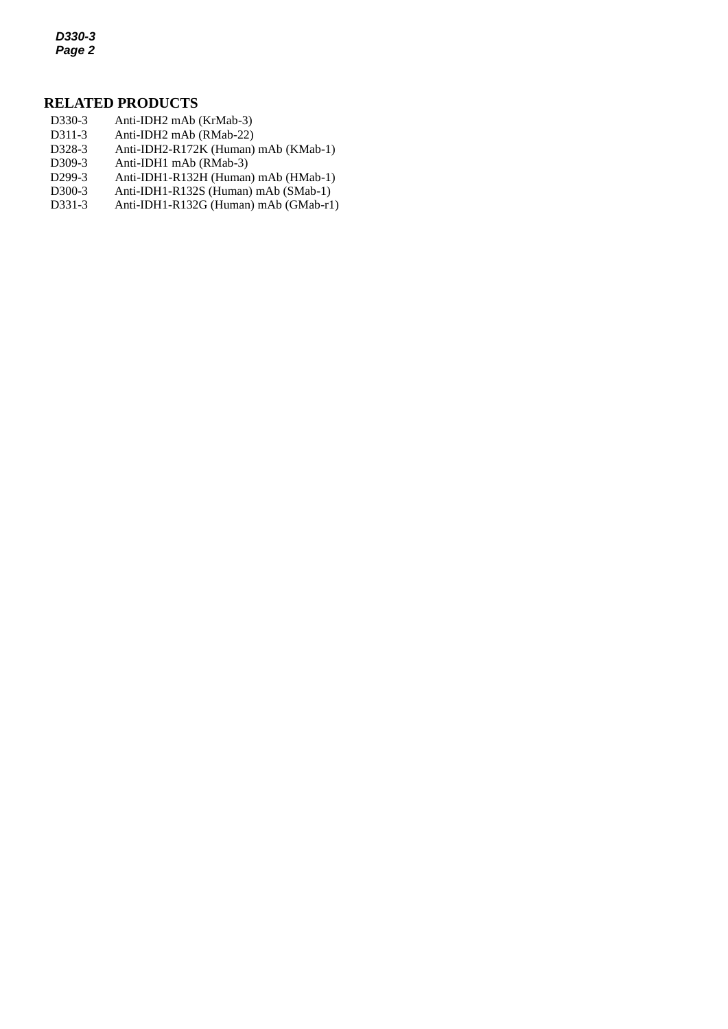*D330-3 Page 2*

## **RELATED PRODUCTS**

- D330-3 Anti-IDH2 mAb (KrMab-3)
- *2* D311-3 Anti-IDH2 mAb (RMab-22)
- D328-3 [Anti-IDH2-R172K](http://ruo.mbl.co.jp/dtl/A/D328-3/) (Human) mAb (KMab-1)<br>D309-3 Anti-IDH1 mAb (RMab-3)
- Anti-IDH1 mAb (RMab-3)
- D299-3 Anti-IDH1-R132H (Human) mAb (HMab-1)
- D300-3 Anti-IDH1-R132S (Human) mAb (SMab-1)
- D331-3 Anti-IDH1-R132G (Human) mAb (GMab-r1)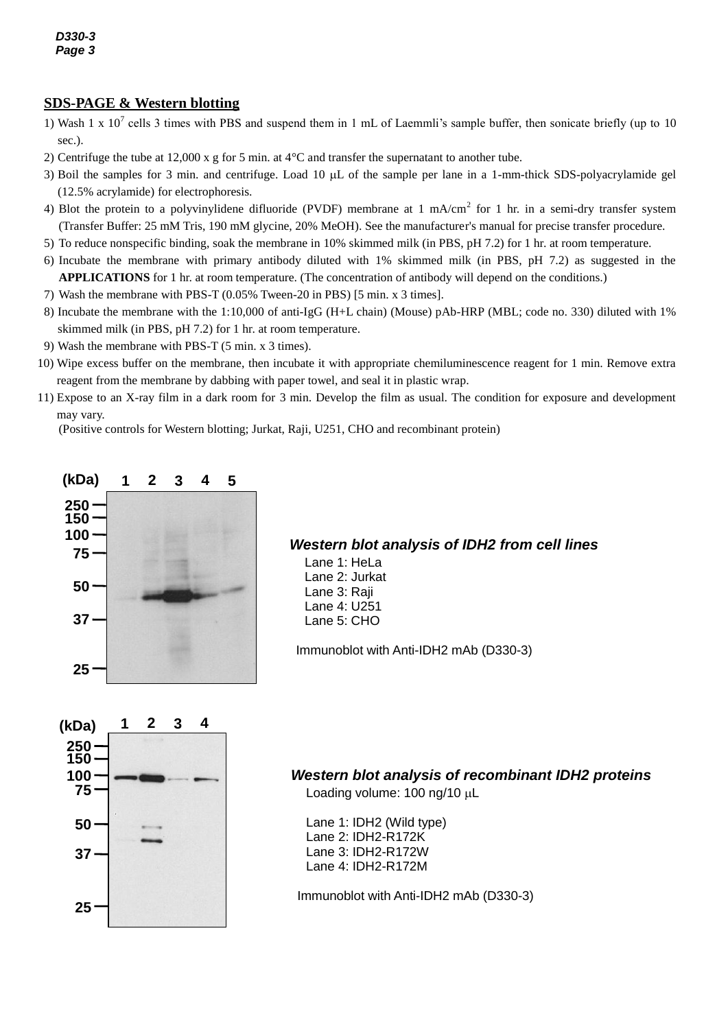## **SDS-PAGE & Western blotting**

- 1) Wash 1 x  $10^7$  cells 3 times with PBS and suspend them in 1 mL of Laemmli's sample buffer, then sonicate briefly (up to 10 sec.).
- 2) Centrifuge the tube at 12,000 x g for 5 min. at 4°C and transfer the supernatant to another tube.
- 3) Boil the samples for 3 min. and centrifuge. Load 10 µL of the sample per lane in a 1-mm-thick SDS-polyacrylamide gel (12.5% acrylamide) for electrophoresis.
- 4) Blot the protein to a polyvinylidene difluoride (PVDF) membrane at 1 mA/cm<sup>2</sup> for 1 hr. in a semi-dry transfer system (Transfer Buffer: 25 mM Tris, 190 mM glycine, 20% MeOH). See the manufacturer's manual for precise transfer procedure.
- 5) To reduce nonspecific binding, soak the membrane in 10% skimmed milk (in PBS, pH 7.2) for 1 hr. at room temperature.
- 6) Incubate the membrane with primary antibody diluted with 1% skimmed milk (in PBS, pH 7.2) as suggested in the **APPLICATIONS** for 1 hr. at room temperature. (The concentration of antibody will depend on the conditions.)

7) Wash the membrane with PBS-T (0.05% Tween-20 in PBS) [5 min. x 3 times].

- 8) Incubate the membrane with the 1:10,000 of [anti-IgG \(H+L chain\) \(Mouse\) pAb-HRP](http://ruo.mbl.co.jp/g/dtl/A/330/) (MBL; code no. 330) diluted with 1% skimmed milk (in PBS, pH 7.2) for 1 hr. at room temperature.
- 9) Wash the membrane with PBS-T (5 min. x 3 times).
- 10) Wipe excess buffer on the membrane, then incubate it with appropriate chemiluminescence reagent for 1 min. Remove extra reagent from the membrane by dabbing with paper towel, and seal it in plastic wrap.
- 11) Expose to an X-ray film in a dark room for 3 min. Develop the film as usual. The condition for exposure and development may vary.

(Positive controls for Western blotting; Jurkat, Raji, U251, CHO and recombinant protein)



### *Western blot analysis of IDH2 from cell lines*

Lane 1: HeLa Lane 2: Jurkat Lane 3: Raji Lane 4: U251 Lane 5: CHO

Immunoblot with Anti-IDH2 mAb (D330-3)



## *Western blot analysis of recombinant IDH2 proteins*

Loading volume:  $100$  ng/ $10 \mu L$ 

Lane 1: IDH2 (Wild type) Lane 2: IDH2-R172K Lane 3: IDH2-R172W Lane 4: IDH2-R172M

Immunoblot with Anti-IDH2 mAb (D330-3)